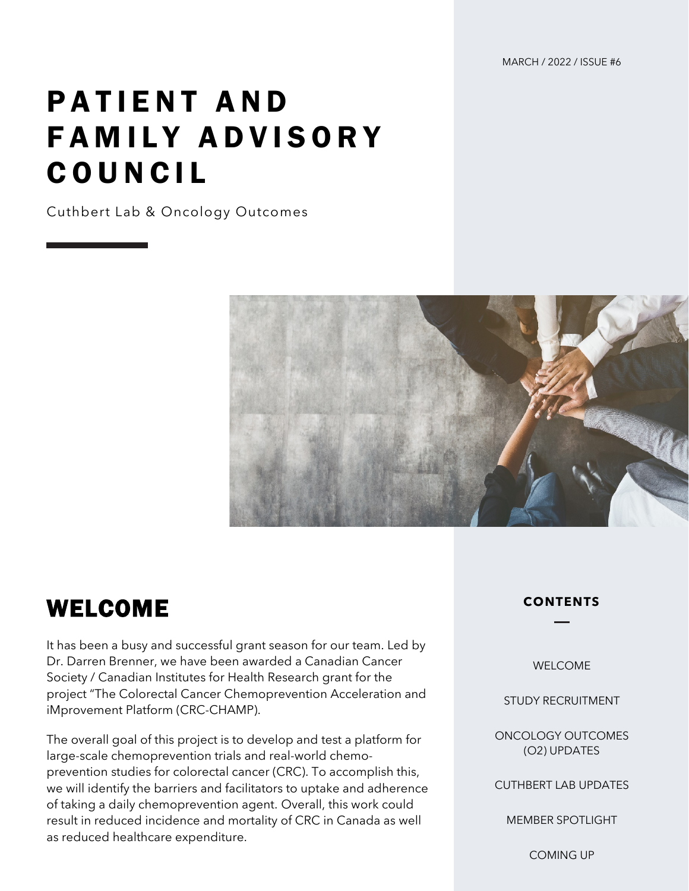MARCH / 2022 / ISSUE #6

# PATIENT AND FAMILY ADVISORY COUNCIL

Cuthbert Lab & Oncology Outcomes



#### WELCOME

It has been a busy and successful grant season for our team. Led by Dr. Darren Brenner, we have been awarded a Canadian Cancer Society / Canadian Institutes for Health Research grant for the project "The Colorectal Cancer Chemoprevention Acceleration and iMprovement Platform (CRC-CHAMP).

The overall goal of this project is to develop and test a platform for large-scale chemoprevention trials and real-world chemoprevention studies for colorectal cancer (CRC). To accomplish this, we will identify the barriers and facilitators to uptake and adherence of taking a daily chemoprevention agent. Overall, this work could result in reduced incidence and mortality of CRC in Canada as well as reduced healthcare expenditure.

#### **CONTENTS**

WELCOME

STUDY RECRUITMENT

ONCOLOGY OUTCOMES (O2) UPDATES

CUTHBERT LAB UPDATES

MEMBER SPOTLIGHT

COMING UP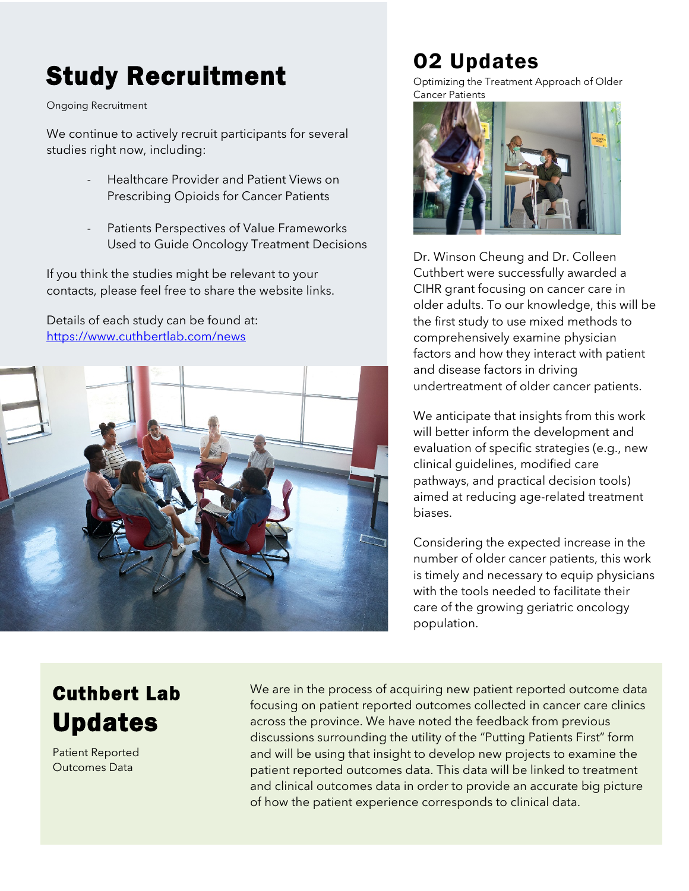## Study Recruitment

Ongoing Recruitment

We continue to actively recruit participants for several studies right now, including:

- Healthcare Provider and Patient Views on Prescribing Opioids for Cancer Patients
- Patients Perspectives of Value Frameworks Used to Guide Oncology Treatment Decisions

If you think the studies might be relevant to your contacts, please feel free to share the website links.

Details of each study can be found at: <https://www.cuthbertlab.com/news>



### O2 Updates

Optimizing the Treatment Approach of Older Cancer Patients



Dr. Winson Cheung and Dr. Colleen Cuthbert were successfully awarded a CIHR grant focusing on cancer care in older adults. To our knowledge, this will be the first study to use mixed methods to comprehensively examine physician factors and how they interact with patient and disease factors in driving undertreatment of older cancer patients.

We anticipate that insights from this work will better inform the development and evaluation of specific strategies (e.g., new clinical guidelines, modified care pathways, and practical decision tools) aimed at reducing age-related treatment biases.

Considering the expected increase in the number of older cancer patients, this work is timely and necessary to equip physicians with the tools needed to facilitate their care of the growing geriatric oncology population.

#### Cuthbert Lab Updates

Patient Reported Outcomes Data

We are in the process of acquiring new patient reported outcome data focusing on patient reported outcomes collected in cancer care clinics across the province. We have noted the feedback from previous discussions surrounding the utility of the "Putting Patients First" form and will be using that insight to develop new projects to examine the patient reported outcomes data. This data will be linked to treatment and clinical outcomes data in order to provide an accurate big picture of how the patient experience corresponds to clinical data.